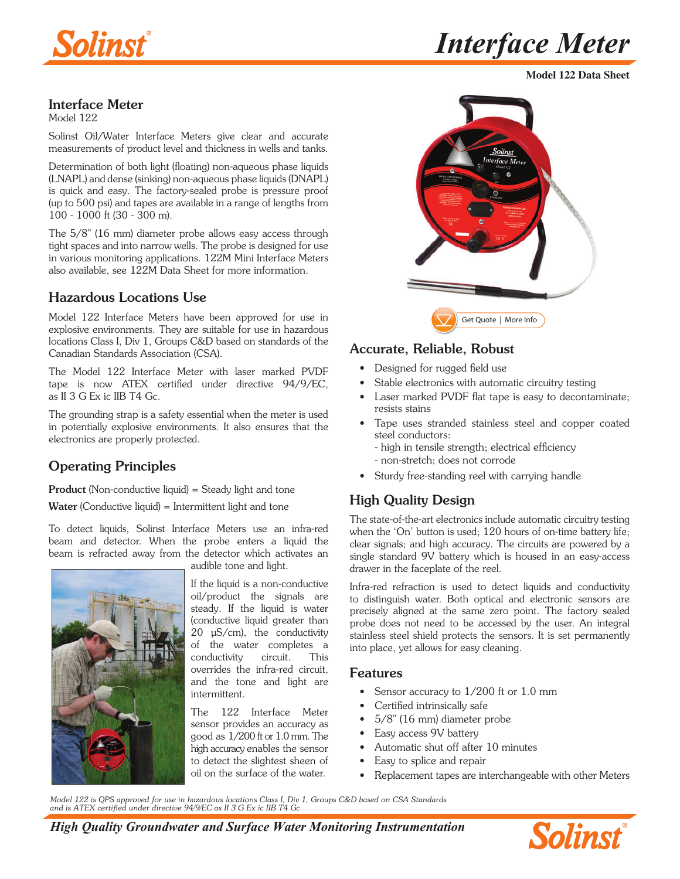

**Model 122 Data Sheet**

## Interface Meter

Model 122

Solinst Oil/Water Interface Meters give clear and accurate measurements of product level and thickness in wells and tanks.

Determination of both light (floating) non-aqueous phase liquids (LNAPL) and dense (sinking) non-aqueous phase liquids (DNAPL) is quick and easy. The factory-sealed probe is pressure proof (up to 500 psi) and tapes are available in a range of lengths from 100 - 1000 ft (30 - 300 m).

The 5/8" (16 mm) diameter probe allows easy access through tight spaces and into narrow wells. The probe is designed for use in various monitoring applications. 122M Mini Interface Meters also available, see 122M Data Sheet for more information.

# Hazardous Locations Use

Model 122 Interface Meters have been approved for use in explosive environments. They are suitable for use in hazardous locations Class I, Div 1, Groups C&D based on standards of the Canadian Standards Association (CSA).

The Model 122 Interface Meter with laser marked PVDF tape is now ATEX certified under directive 94/9/EC, as II 3 G Ex ic IIB T4 Gc.

The grounding strap is a safety essential when the meter is used in potentially explosive environments. It also ensures that the electronics are properly protected.

# Operating Principles

Product (Non-conductive liquid) = Steady light and tone Water (Conductive liquid) = Intermittent light and tone

To detect liquids, Solinst Interface Meters use an infra-red beam and detector. When the probe enters a liquid the beam is refracted away from the detector which activates an audible tone and light.



If the liquid is a non-conductive oil/product the signals are steady. If the liquid is water (conductive liquid greater than  $20 \mu S/cm$ , the conductivity of the water completes a conductivity circuit. This overrides the infra-red circuit, and the tone and light are intermittent.

The 122 Interface Meter sensor provides an accuracy as good as 1/200 ft or 1.0 mm. The high accuracy enables the sensor to detect the slightest sheen of oil on the surface of the water.



# Accurate, Reliable, Robust

- Designed for rugged field use
- Stable electronics with automatic circuitry testing
- Laser marked PVDF flat tape is easy to decontaminate; resists stains
- Tape uses stranded stainless steel and copper coated steel conductors:
	- high in tensile strength; electrical efficiency
	- non-stretch; does not corrode
- Sturdy free-standing reel with carrying handle

# High Quality Design

The state-of-the-art electronics include automatic circuitry testing when the 'On' button is used; 120 hours of on-time battery life; clear signals; and high accuracy. The circuits are powered by a single standard 9V battery which is housed in an easy-access drawer in the faceplate of the reel.

Infra-red refraction is used to detect liquids and conductivity to distinguish water. Both optical and electronic sensors are precisely aligned at the same zero point. The factory sealed probe does not need to be accessed by the user. An integral stainless steel shield protects the sensors. It is set permanently into place, yet allows for easy cleaning.

#### Features

- Sensor accuracy to 1/200 ft or 1.0 mm
- Certified intrinsically safe
- 5/8" (16 mm) diameter probe
- Easy access 9V battery
- Automatic shut off after 10 minutes
- Easy to splice and repair
- Replacement tapes are interchangeable with other Meters

*Model 122 is QPS approved for use in hazardous locations Class I, Div 1, Groups C&D based on CSA Standards and is ATEX certified under directive 94/9/EC as II 3 G Ex ic IIB T4 Gc*

*High Quality Groundwater and Surface Water Monitoring Instrumentation*